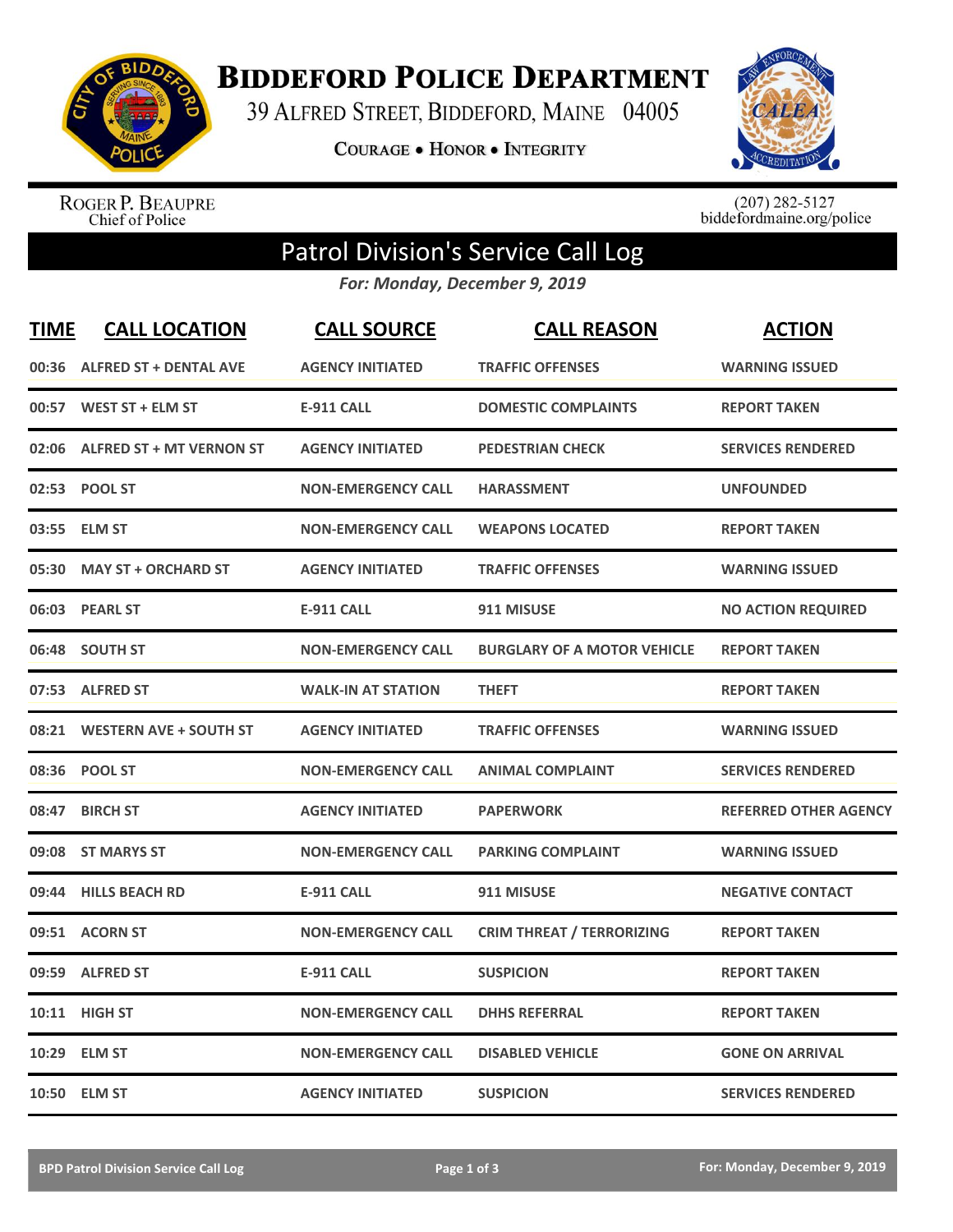

**BIDDEFORD POLICE DEPARTMENT** 

39 ALFRED STREET, BIDDEFORD, MAINE 04005

**COURAGE . HONOR . INTEGRITY** 



ROGER P. BEAUPRE<br>Chief of Police

 $(207)$  282-5127<br>biddefordmaine.org/police

## Patrol Division's Service Call Log

*For: Monday, December 9, 2019*

| <b>TIME</b> | <b>CALL LOCATION</b>           | <b>CALL SOURCE</b>        | <b>CALL REASON</b>                 | <b>ACTION</b>                |
|-------------|--------------------------------|---------------------------|------------------------------------|------------------------------|
|             | 00:36 ALFRED ST + DENTAL AVE   | <b>AGENCY INITIATED</b>   | <b>TRAFFIC OFFENSES</b>            | <b>WARNING ISSUED</b>        |
|             | 00:57 WEST ST + ELM ST         | <b>E-911 CALL</b>         | <b>DOMESTIC COMPLAINTS</b>         | <b>REPORT TAKEN</b>          |
|             | 02:06 ALFRED ST + MT VERNON ST | <b>AGENCY INITIATED</b>   | <b>PEDESTRIAN CHECK</b>            | <b>SERVICES RENDERED</b>     |
|             | 02:53 POOL ST                  | <b>NON-EMERGENCY CALL</b> | <b>HARASSMENT</b>                  | <b>UNFOUNDED</b>             |
|             | 03:55 ELM ST                   | <b>NON-EMERGENCY CALL</b> | <b>WEAPONS LOCATED</b>             | <b>REPORT TAKEN</b>          |
|             | 05:30 MAY ST + ORCHARD ST      | <b>AGENCY INITIATED</b>   | <b>TRAFFIC OFFENSES</b>            | <b>WARNING ISSUED</b>        |
|             | 06:03 PEARL ST                 | <b>E-911 CALL</b>         | 911 MISUSE                         | <b>NO ACTION REQUIRED</b>    |
| 06:48       | <b>SOUTH ST</b>                | <b>NON-EMERGENCY CALL</b> | <b>BURGLARY OF A MOTOR VEHICLE</b> | <b>REPORT TAKEN</b>          |
|             | 07:53 ALFRED ST                | <b>WALK-IN AT STATION</b> | <b>THEFT</b>                       | <b>REPORT TAKEN</b>          |
|             | 08:21 WESTERN AVE + SOUTH ST   | <b>AGENCY INITIATED</b>   | <b>TRAFFIC OFFENSES</b>            | <b>WARNING ISSUED</b>        |
|             | 08:36 POOL ST                  | <b>NON-EMERGENCY CALL</b> | <b>ANIMAL COMPLAINT</b>            | <b>SERVICES RENDERED</b>     |
| 08:47       | <b>BIRCH ST</b>                | <b>AGENCY INITIATED</b>   | <b>PAPERWORK</b>                   | <b>REFERRED OTHER AGENCY</b> |
| 09:08       | <b>ST MARYS ST</b>             | <b>NON-EMERGENCY CALL</b> | <b>PARKING COMPLAINT</b>           | <b>WARNING ISSUED</b>        |
| 09:44       | <b>HILLS BEACH RD</b>          | <b>E-911 CALL</b>         | 911 MISUSE                         | <b>NEGATIVE CONTACT</b>      |
|             | 09:51 ACORN ST                 | <b>NON-EMERGENCY CALL</b> | <b>CRIM THREAT / TERRORIZING</b>   | <b>REPORT TAKEN</b>          |
|             | 09:59 ALFRED ST                | <b>E-911 CALL</b>         | <b>SUSPICION</b>                   | <b>REPORT TAKEN</b>          |
|             | 10:11 HIGH ST                  | <b>NON-EMERGENCY CALL</b> | <b>DHHS REFERRAL</b>               | <b>REPORT TAKEN</b>          |
|             | 10:29 ELM ST                   | <b>NON-EMERGENCY CALL</b> | <b>DISABLED VEHICLE</b>            | <b>GONE ON ARRIVAL</b>       |
|             | 10:50 ELM ST                   | <b>AGENCY INITIATED</b>   | <b>SUSPICION</b>                   | <b>SERVICES RENDERED</b>     |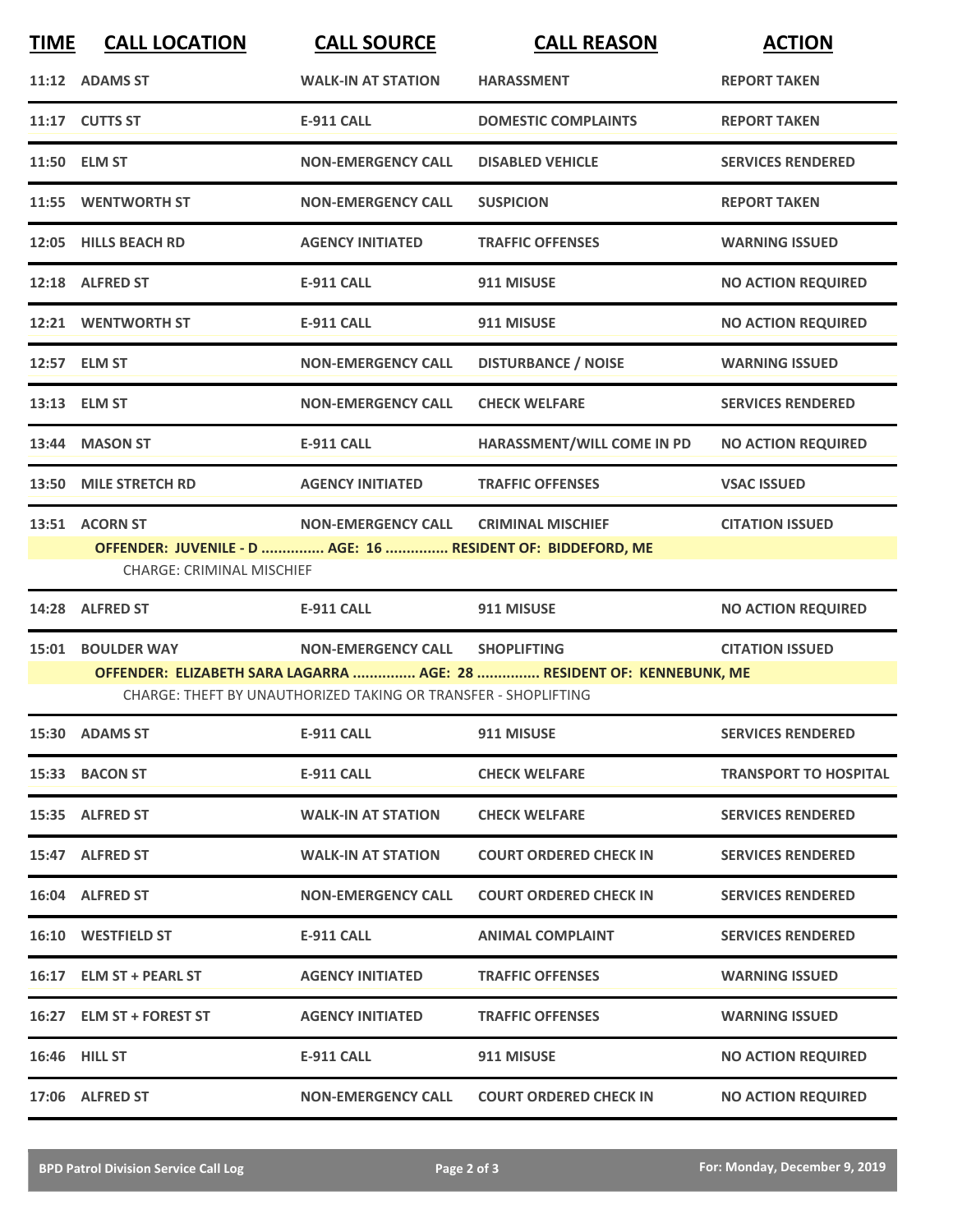| <b>TIME</b> | <b>CALL LOCATION</b>                                                                            | <b>CALL SOURCE</b>                                             | <b>CALL REASON</b>                                                    | <b>ACTION</b>                |
|-------------|-------------------------------------------------------------------------------------------------|----------------------------------------------------------------|-----------------------------------------------------------------------|------------------------------|
|             | 11:12 ADAMS ST                                                                                  | <b>WALK-IN AT STATION</b>                                      | <b>HARASSMENT</b>                                                     | <b>REPORT TAKEN</b>          |
|             | 11:17 CUTTS ST                                                                                  | <b>E-911 CALL</b>                                              | <b>DOMESTIC COMPLAINTS</b>                                            | <b>REPORT TAKEN</b>          |
|             | 11:50 ELM ST                                                                                    | <b>NON-EMERGENCY CALL</b>                                      | <b>DISABLED VEHICLE</b>                                               | <b>SERVICES RENDERED</b>     |
|             | 11:55 WENTWORTH ST                                                                              | <b>NON-EMERGENCY CALL</b>                                      | <b>SUSPICION</b>                                                      | <b>REPORT TAKEN</b>          |
|             | 12:05 HILLS BEACH RD                                                                            | <b>AGENCY INITIATED</b>                                        | <b>TRAFFIC OFFENSES</b>                                               | <b>WARNING ISSUED</b>        |
|             | 12:18 ALFRED ST                                                                                 | <b>E-911 CALL</b>                                              | 911 MISUSE                                                            | <b>NO ACTION REQUIRED</b>    |
|             | 12:21 WENTWORTH ST                                                                              | <b>E-911 CALL</b>                                              | 911 MISUSE                                                            | <b>NO ACTION REQUIRED</b>    |
|             | 12:57 ELM ST                                                                                    | <b>NON-EMERGENCY CALL</b>                                      | <b>DISTURBANCE / NOISE</b>                                            | <b>WARNING ISSUED</b>        |
|             | 13:13 ELM ST                                                                                    | <b>NON-EMERGENCY CALL</b>                                      | <b>CHECK WELFARE</b>                                                  | <b>SERVICES RENDERED</b>     |
|             | 13:44 MASON ST                                                                                  | <b>E-911 CALL</b>                                              | HARASSMENT/WILL COME IN PD                                            | <b>NO ACTION REQUIRED</b>    |
|             | 13:50 MILE STRETCH RD                                                                           | <b>AGENCY INITIATED</b>                                        | <b>TRAFFIC OFFENSES</b>                                               | <b>VSAC ISSUED</b>           |
|             | 13:51 ACORN ST                                                                                  | <b>NON-EMERGENCY CALL</b>                                      | <b>CRIMINAL MISCHIEF</b>                                              | <b>CITATION ISSUED</b>       |
|             | OFFENDER: JUVENILE - D  AGE: 16  RESIDENT OF: BIDDEFORD, ME<br><b>CHARGE: CRIMINAL MISCHIEF</b> |                                                                |                                                                       |                              |
|             | 14:28 ALFRED ST                                                                                 | E-911 CALL                                                     | 911 MISUSE                                                            | <b>NO ACTION REQUIRED</b>    |
|             | 15:01 BOULDER WAY                                                                               | <b>NON-EMERGENCY CALL</b>                                      | <b>SHOPLIFTING</b>                                                    | <b>CITATION ISSUED</b>       |
|             |                                                                                                 | CHARGE: THEFT BY UNAUTHORIZED TAKING OR TRANSFER - SHOPLIFTING | OFFENDER: ELIZABETH SARA LAGARRA  AGE: 28  RESIDENT OF: KENNEBUNK, ME |                              |
|             | 15:30 ADAMS ST                                                                                  | <b>E-911 CALL</b>                                              | 911 MISUSE                                                            | <b>SERVICES RENDERED</b>     |
|             | 15:33 BACON ST                                                                                  | E-911 CALL                                                     | <b>CHECK WELFARE</b>                                                  | <b>TRANSPORT TO HOSPITAL</b> |
|             | 15:35 ALFRED ST                                                                                 | <b>WALK-IN AT STATION</b>                                      | <b>CHECK WELFARE</b>                                                  | <b>SERVICES RENDERED</b>     |
|             | 15:47 ALFRED ST                                                                                 | <b>WALK-IN AT STATION</b>                                      | <b>COURT ORDERED CHECK IN</b>                                         | <b>SERVICES RENDERED</b>     |
|             | 16:04 ALFRED ST                                                                                 | <b>NON-EMERGENCY CALL</b>                                      | <b>COURT ORDERED CHECK IN</b>                                         | <b>SERVICES RENDERED</b>     |
|             | 16:10 WESTFIELD ST                                                                              | <b>E-911 CALL</b>                                              | <b>ANIMAL COMPLAINT</b>                                               | <b>SERVICES RENDERED</b>     |
|             | 16:17 ELM ST + PEARL ST                                                                         | <b>AGENCY INITIATED</b>                                        | <b>TRAFFIC OFFENSES</b>                                               | <b>WARNING ISSUED</b>        |
|             | 16:27 ELM ST + FOREST ST                                                                        | <b>AGENCY INITIATED</b>                                        | <b>TRAFFIC OFFENSES</b>                                               | <b>WARNING ISSUED</b>        |
|             | <b>16:46 HILL ST</b>                                                                            | <b>E-911 CALL</b>                                              | 911 MISUSE                                                            | <b>NO ACTION REQUIRED</b>    |
|             | 17:06 ALFRED ST                                                                                 | <b>NON-EMERGENCY CALL</b>                                      | <b>COURT ORDERED CHECK IN</b>                                         | <b>NO ACTION REQUIRED</b>    |